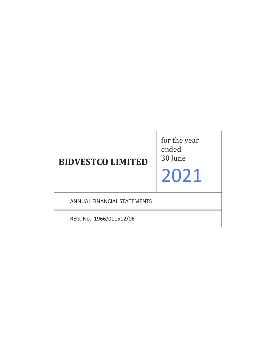# **BIDVESTCO LIMITED** for the year ended 30 June 2021 ANNUAL FINANCIAL STATEMENTS REG. No.1966/011512/06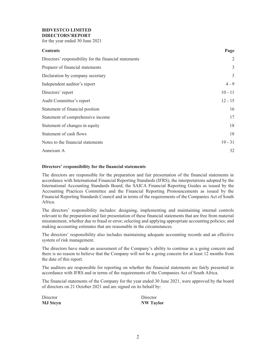### **BIDVESTCO LIMITED DIRECTORS'REPORT**

for the year ended 30 June 2021

| Page      |
|-----------|
| 2         |
| 3         |
| 3         |
| $4 - 9$   |
| $10 - 11$ |
| $12 - 15$ |
| 16        |
| 17        |
| 18        |
| 18        |
| $19 - 31$ |
| 32        |
|           |

### **Directors' responsibility for the financial statements**

The directors are responsible for the preparation and fair presentation of the financial statements in accordance with International Financial Reporting Standards (IFRS), the interpretations adopted by the International Accounting Standards Board, the SAICA Financial Reporting Guides as issued by the Accounting Practices Committee and the Financial Reporting Pronouncements as issued by the Financial Reporting Standards Council and in terms of the requirements of the Companies Act of South Africa.

The directors' responsibility includes: designing, implementing and maintaining internal controls relevant to the preparation and fair presentation of these financial statements that are free from material misstatement, whether due to fraud or error; selecting and applying appropriate accounting policies; and making accounting estimates that are reasonable in the circumstances.

The directors' responsibility also includes maintaining adequate accounting records and an effective system of risk management.

The directors have made an assessment of the Company's ability to continue as a going concern and there is no reason to believe that the Company will not be a going concern for at least 12 months from the date of this report.

The auditors are responsible for reporting on whether the financial statements are fairly presented in accordance with IFRS and in terms of the requirements of the Companies Act of South Africa.

The financial statements of the Company for the year ended 30 June 2021, were approved by the board of directors on 21 October 2021 and are signed on its behalf by:

Director Director

**MJ Steyn** NW Taylor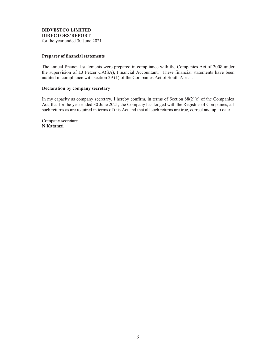# **BIDVESTCO LIMITED DIRECTORS'REPORT**

for the year ended 30 June 2021

### **Preparer of financial statements**

The annual financial statements were prepared in compliance with the Companies Act of 2008 under the supervision of LJ Petzer CA(SA), Financial Accountant. These financial statements have been audited in compliance with section 29 (1) of the Companies Act of South Africa.

### **Declaration by company secretary**

In my capacity as company secretary, I hereby confirm, in terms of Section 88(2)(e) of the Companies Act, that for the year ended 30 June 2021, the Company has lodged with the Registrar of Companies, all such returns as are required in terms of this Act and that all such returns are true, correct and up to date.

Company secretary **N Katamzi**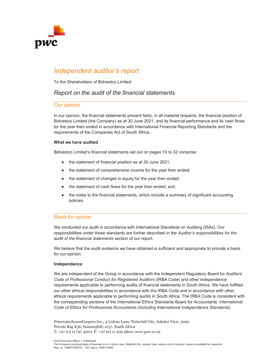

# *Independent auditor's report*

To the Shareholders of Bidvestco Limited

# *Report on the audit of the financial statements*

### *Our opinion*

In our opinion, the financial statements present fairly, in all material respects, the financial position of Bidvestco Limited (the Company) as at 30 June 2021, and its financial performance and its cash flows for the year then ended in accordance with International Financial Reporting Standards and the requirements of the Companies Act of South Africa*.*

### **What we have audited**

Bidvestco Limited's financial statements set out on pages 10 to 32 comprise:

- the statement of financial position as at 30 June 2021;
- the statement of comprehensive income for the year then ended;
- the statement of changes in equity for the year then ended;
- the statement of cash flows for the year then ended; and
- the notes to the financial statements, which include a summary of significant accounting policies.

### *Basis for opinion*

We conducted our audit in accordance with International Standards on Auditing (ISAs). Our responsibilities under those standards are further described in the *Auditor's responsibilities for the audit of the financial statements* section of our report.

We believe that the audit evidence we have obtained is sufficient and appropriate to provide a basis for our opinion.

#### **Independence**

We are independent of the Group in accordance with the Independent Regulatory Board for Auditors' *Code of Professional Conduct for Registered Auditors* (IRBA Code) and other independence requirements applicable to performing audits of financial statements in South Africa. We have fulfilled our other ethical responsibilities in accordance with the IRBA Code and in accordance with other ethical requirements applicable to performing audits in South Africa. The IRBA Code is consistent with the corresponding sections of the International Ethics Standards Board for Accountants' *International Code of Ethics for Professional Accountants (including International Independence Standards)*.

PricewaterhouseCoopers Inc.**,** 4 Lisbon Lane, Waterfall City, Jukskei View, 2090 Private Bag X36, Sunninghill, 2157, South Africa  $T: +27(0)$  11 797 4000,  $F: +27(0)$  11 209 5800, www.pwc.co.za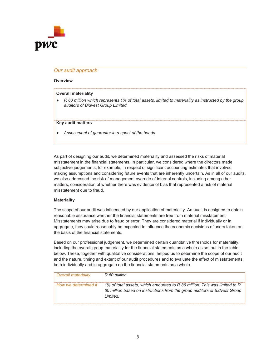

### *Our audit approach*

#### **Overview**

#### **Overall materiality**

භ *R 60 million which represents 1% of total assets, limited to materiality as instructed by the group auditors of Bidvest Group Limited.*

**Key audit matters**

**•** Assessment of guarantor in respect of the bonds

As part of designing our audit, we determined materiality and assessed the risks of material misstatement in the financial statements. In particular, we considered where the directors made subjective judgements; for example, in respect of significant accounting estimates that involved making assumptions and considering future events that are inherently uncertain. As in all of our audits, we also addressed the risk of management override of internal controls, including among other matters, consideration of whether there was evidence of bias that represented a risk of material misstatement due to fraud.

### **Materiality**

The scope of our audit was influenced by our application of materiality. An audit is designed to obtain reasonable assurance whether the financial statements are free from material misstatement. Misstatements may arise due to fraud or error. They are considered material if individually or in aggregate, they could reasonably be expected to influence the economic decisions of users taken on the basis of the financial statements.

Based on our professional judgement, we determined certain quantitative thresholds for materiality, including the overall group materiality for the financial statements as a whole as set out in the table below. These, together with qualitative considerations, helped us to determine the scope of our audit and the nature, timing and extent of our audit procedures and to evaluate the effect of misstatements, both individually and in aggregate on the financial statements as a whole.

| <b>Overall materiality</b> | R 60 million                                                                                                                                                       |
|----------------------------|--------------------------------------------------------------------------------------------------------------------------------------------------------------------|
| How we determined it       | 1% of total assets, which amounted to R 86 million. This was limited to R<br>60 million based on instructions from the group auditors of Bidvest Group<br>Limited. |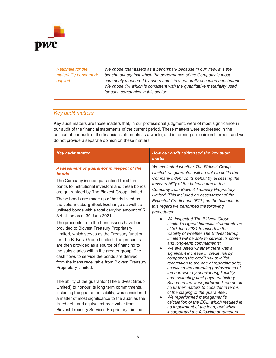

| <b>Rationale for the</b><br>materiality benchmark<br>applied | We chose total assets as a benchmark because in our view, it is the<br>benchmark against which the performance of the Company is most<br>commonly measured by users and it is a generally accepted benchmark.<br>We chose 1% which is consistent with the quantitative materiality used<br>for such companies in this sector. |
|--------------------------------------------------------------|-------------------------------------------------------------------------------------------------------------------------------------------------------------------------------------------------------------------------------------------------------------------------------------------------------------------------------|
|                                                              |                                                                                                                                                                                                                                                                                                                               |

### *Key audit matters*

Key audit matters are those matters that, in our professional judgment, were of most significance in our audit of the financial statements of the current period. These matters were addressed in the context of our audit of the financial statements as a whole, and in forming our opinion thereon, and we do not provide a separate opinion on these matters.

| <b>Key audit matter</b>                                                                                                                                                                                                                                                                                                                                                                                               | How our audit addressed the key audit<br>matter                                                                                                                                                                                                                                                                                                                                                                                                         |
|-----------------------------------------------------------------------------------------------------------------------------------------------------------------------------------------------------------------------------------------------------------------------------------------------------------------------------------------------------------------------------------------------------------------------|---------------------------------------------------------------------------------------------------------------------------------------------------------------------------------------------------------------------------------------------------------------------------------------------------------------------------------------------------------------------------------------------------------------------------------------------------------|
| Assessment of guarantor in respect of the<br>bonds<br>The Company issued guaranteed fixed term<br>bonds to institutional investors and these bonds<br>are guaranteed by The Bidvest Group Limited.<br>These bonds are made up of bonds listed on<br>the Johannesburg Stock Exchange as well as<br>unlisted bonds with a total carrying amount of R<br>8.4 billion as at 30 June 2021.                                 | We evaluated whether The Bidvest Group<br>Limited, as guarantor, will be able to settle the<br>Company's debt on its behalf by assessing the<br>recoverability of the balance due to the<br>Company from Bidvest Treasury Proprietary<br>Limited. This included an assessment of the<br>Expected Credit Loss (ECL) on the balance. In<br>this regard we performed the following<br>procedures:<br>We inspected The Bidvest Group                        |
| The proceeds from the bond issues have been<br>provided to Bidvest Treasury Proprietary<br>Limited, which serves as the Treasury function<br>for The Bidvest Group Limited. The proceeds<br>are then provided as a source of financing to<br>the subsidiaries within the greater group. The<br>cash flows to service the bonds are derived<br>from the loans receivable from Bidvest Treasury<br>Proprietary Limited. | Limited's signed financial statements as<br>at 30 June 2021 to ascertain the<br>viability of whether The Bidvest Group<br>Limited will be able to service its short-<br>and long-term commitments;<br>We evaluated whether there was a<br>significant increase in credit risk by<br>comparing the credit risk at initial<br>recognition to the one at reporting date;<br>assessed the operating performance of<br>the borrower by considering liquidity |
| The ability of the guarantor (The Bidvest Group<br>Limited) to honour its long term commitments,<br>including the guarantee liability, was considered<br>a matter of most significance to the audit as the<br>listed debt and equivalent receivable from<br><b>Bidvest Treasury Services Proprietary Limited</b>                                                                                                      | and evaluating past payment history.<br>Based on the work performed, we noted<br>no further matters to consider in terms<br>of the staging of the guarantee.;<br>We reperformed management's<br>calculation of the ECL, which resulted in<br>no impairment of the loan, and which<br>incorporated the following parameters:                                                                                                                             |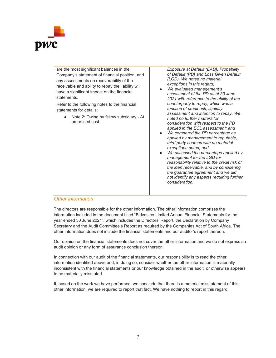

are the most significant balances in the Company's statement of financial position, and any assessments on recoverability of the receivable and ability to repay the liability will have a significant impact on the financial statements.

Refer to the following notes to the financial statements for details:

• Note 2: Owing by fellow subsidiary - At amortised cost.

*Exposure at Default (EAD), Probability of Default (PD) and Loss Given Default (LGD). We noted no material exceptions in this regard;*

- භ *We evaluated management's assessment of the PD as at 30 June 2021 with reference to the ability of the counterparty to repay, which was a function of credit risk, liquidity assessment and intention to repay. We noted no further matters for consideration with respect to the PD applied in the ECL assessment; and*
- භ *We compared the PD percentage as applied by management to reputable, third party sources with no material exceptions noted; and*
- භ *We assessed the percentage applied by management for the LGD for reasonability relative to the credit risk of the loan receivable, and by considering the guarantee agreement and we did not identify any aspects requiring further consideration.*

### *Other information*

The directors are responsible for the other information. The other information comprises the information included in the document titled "Bidvestco Limited Annual Financial Statements for the year ended 30 June 2021", which includes the Directors' Report, the Declaration by Company Secretary and the Audit Committee's Report as required by the Companies Act of South Africa. The other information does not include the financial statements and our auditor's report thereon.

Our opinion on the financial statements does not cover the other information and we do not express an audit opinion or any form of assurance conclusion thereon.

In connection with our audit of the financial statements, our responsibility is to read the other information identified above and, in doing so, consider whether the other information is materially inconsistent with the financial statements or our knowledge obtained in the audit, or otherwise appears to be materially misstated.

If, based on the work we have performed, we conclude that there is a material misstatement of this other information, we are required to report that fact. We have nothing to report in this regard.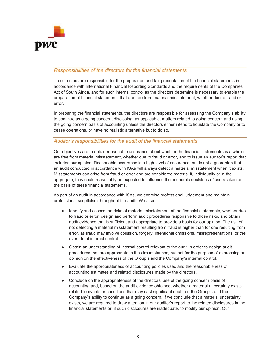

### *Responsibilities of the directors for the financial statements*

The directors are responsible for the preparation and fair presentation of the financial statements in accordance with International Financial Reporting Standards and the requirements of the Companies Act of South Africa, and for such internal control as the directors determine is necessary to enable the preparation of financial statements that are free from material misstatement, whether due to fraud or error.

In preparing the financial statements, the directors are responsible for assessing the Company's ability to continue as a going concern, disclosing, as applicable, matters related to going concern and using the going concern basis of accounting unless the directors either intend to liquidate the Company or to cease operations, or have no realistic alternative but to do so.

### *Auditor's responsibilities for the audit of the financial statements*

Our objectives are to obtain reasonable assurance about whether the financial statements as a whole are free from material misstatement, whether due to fraud or error, and to issue an auditor's report that includes our opinion. Reasonable assurance is a high level of assurance, but is not a guarantee that an audit conducted in accordance with ISAs will always detect a material misstatement when it exists. Misstatements can arise from fraud or error and are considered material if, individually or in the aggregate, they could reasonably be expected to influence the economic decisions of users taken on the basis of these financial statements.

As part of an audit in accordance with ISAs, we exercise professional judgement and maintain professional scepticism throughout the audit. We also:

- භ Identify and assess the risks of material misstatement of the financial statements, whether due to fraud or error, design and perform audit procedures responsive to those risks, and obtain audit evidence that is sufficient and appropriate to provide a basis for our opinion. The risk of not detecting a material misstatement resulting from fraud is higher than for one resulting from error, as fraud may involve collusion, forgery, intentional omissions, misrepresentations, or the override of internal control.
- භ Obtain an understanding of internal control relevant to the audit in order to design audit procedures that are appropriate in the circumstances, but not for the purpose of expressing an opinion on the effectiveness of the Group's and the Company's internal control.
- භ Evaluate the appropriateness of accounting policies used and the reasonableness of accounting estimates and related disclosures made by the directors.
- භ Conclude on the appropriateness of the directors' use of the going concern basis of accounting and, based on the audit evidence obtained, whether a material uncertainty exists related to events or conditions that may cast significant doubt on the Group's and the Company's ability to continue as a going concern. If we conclude that a material uncertainty exists, we are required to draw attention in our auditor's report to the related disclosures in the financial statements or, if such disclosures are inadequate, to modify our opinion. Our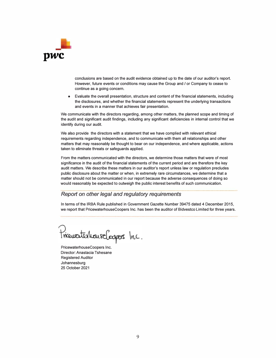

conclusions are based on the audit evidence obtained up to the date of our auditor's report. However, future events or conditions may cause the Group and / or Company to cease to continue as a going concern.

• Evaluate the overall presentation, structure and content of the financial statements, including the disclosures, and whether the financial statements represent the underlying transactions and events in a manner that achieves fair presentation.

We communicate with the directors regarding, among other matters, the planned scope and timing of the audit and significant audit findings, including any significant deficiencies in internal control that we identify during our audit.

We also provide the directors with a statement that we have complied with relevant ethical requirements regarding independence, and to communicate with them all relationships and other matters that may reasonably be thought to bear on our independence, and where applicable, actions taken to eliminate threats or safeguards applied.

From the matters communicated with the directors, we determine those matters that were of most significance in the audit of the financial statements of the current period and are therefore the key audit matters. We describe these matters in our auditor's report unless law or regulation precludes public disclosure about the matter or when, in extremely rare circumstances, we determine that a matter should not be communicated in our report because the adverse consequences of doing so would reasonably be expected to outweigh the public interest benefits of such communication.

### *Report on other legal and regulatory requirements*

In terms of the IRBA Rule published in Government Gazette Number 39475 dated 4 December 2015, we report that PricewaterhouseCoopers Inc. has been the auditor of Bidvestco Limited for three years.

tricewaterhauselagers Inc.

PricewaterhouseCoopers Inc. Director: Anastacia Tshesane Registered Auditor Johannesburg 25 October 2021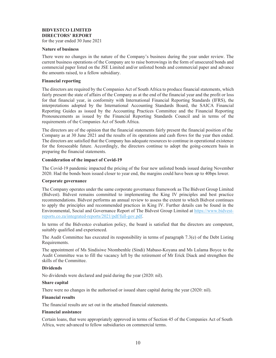### **BIDVESTCO LIMITED DIRECTORS' REPORT**

for the year ended 30 June 2021

### **Nature of business**

There were no changes in the nature of the Company's business during the year under review. The current business operations of the Company are to raise borrowings in the form of unsecured bonds and commercial paper listed on the JSE Limited and/or unlisted bonds and commercial paper and advance the amounts raised, to a fellow subsidiary.

### **Financial reporting**

The directors are required by the Companies Act of South Africa to produce financial statements, which fairly present the state of affairs of the Company as at the end of the financial year and the profit or loss for that financial year, in conformity with International Financial Reporting Standards (IFRS), the interpretations adopted by the International Accounting Standards Board, the SAICA Financial Reporting Guides as issued by the Accounting Practices Committee and the Financial Reporting Pronouncements as issued by the Financial Reporting Standards Council and in terms of the requirements of the Companies Act of South Africa.

The directors are of the opinion that the financial statements fairly present the financial position of the Company as at 30 June 2021 and the results of its operations and cash flows for the year then ended. The directors are satisfied that the Company has adequate resources to continue in operational existence for the foreseeable future. Accordingly, the directors continue to adopt the going-concern basis in preparing the financial statements.

### **Consideration of the impact of Covid-19**

The Covid-19 pandemic impacted the pricing of the four new unlisted bonds issued during November 2020. Had the bonds been issued closer to year end, the margins could have been up to 40bps lower.

### **Corporate governance**

The Company operates under the same corporate governance framework as The Bidvest Group Limited (Bidvest). Bidvest remains committed to implementing the King IV principles and best practice recommendations. Bidvest performs an annual review to assess the extent to which Bidvest continues to apply the principles and recommended practices in King IV. Further details can be found in the Environmental, Social and Governance Report of The Bidvest Group Limited at https://www.bidvestreports.co.za/integrated-reports/2021/pdf/full-gov.pdf.

In terms of the Bidvestco evaluation policy, the board is satisfied that the directors are competent, suitably qualified and experienced.

The Audit Committee has executed its responsibility in terms of paragraph 7.3(e) of the Debt Listing Requirements.

The appointment of Ms Sindisiwe Ntombenhle (Sindi) Mabaso-Koyana and Ms Lulama Boyce to the Audit Committee was to fill the vacancy left by the retirement of Mr Erick Diack and strengthen the skills of the Committee.

### **Dividends**

No dividends were declared and paid during the year (2020: nil).

#### **Share capital**

There were no changes in the authorised or issued share capital during the year (2020: nil).

#### **Financial results**

The financial results are set out in the attached financial statements.

#### **Financial assistance**

Certain loans, that were appropriately approved in terms of Section 45 of the Companies Act of South Africa, were advanced to fellow subsidiaries on commercial terms.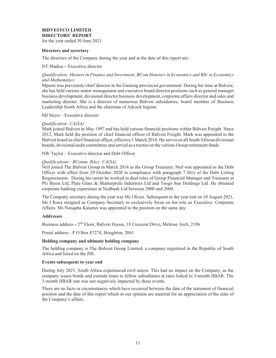### **BIDVESTCO LIMITED DIRECTORS' REPORT**

for the year ended 30 June 2021

### **Directors and secretary**

The directors of the Company during the year and at the date of this report are:

NT Madisa **–** Executive director

### *Qualification: Masters in Finance and Investment, BCom Honours in Economics and BSc in Economics and Mathematics*

Mpumi was previously chief director in the Gauteng provincial government. During her time at Bidvest, she has held various senior management and executive board director positions such as general manager business development, divisional director business development, corporate affairs director and sales and marketing director. She is a director of numerous Bidvest subsidiaries, board member of Business Leadership South Africa and the chairman of Adcock Ingram

### MJ Steyn – Executive director

### *Qualification: CA(SA)*

Mark joined Bidvest in May 1997 and has held various financial positions within Bidvest Freight. Since 2012, Mark held the position of chief financial officer of Bidvest Freight. Mark was appointed to the Bidvest board as chief financial officer, effective 1 March 2018. He serves on all South African divisional boards, divisional audit committees and served as a trustee on the various Group retirement funds.

NW Taylor – Executive director and Debt Officer

### *Qualifications : BComm, BAcc, CA(SA)*

Neil joined The Bidvest Group in March 2014 as the Group Treasurer. Neil was appointed as the Debt Officer with effect from 29 October 2020 in compliance with paragraph 7.3(G) of the Debt Listing Requirements. During his career he worked in dual roles of Group Financial Manager and Treasurer at PG Bison Ltd, Plate Glass & Shatterprufe Industries Ltd and Tsogo Sun Holdings Ltd. He obtained corporate banking experience at Nedbank Ltd between 2000 and 2004.

The Company secretary during the year was Ms I Roux. Subsequent to the year end on 10 August 2021, Ms I Roux resigned as Company Secretary to exclusively focus on her role as Executive: Corporate Affairs. Ms Nonqaba Katamzi was appointed to the position on the same day.

#### **Addresses**

Business address **-** 2nd Floor, Bidvest House, 18 Crescent Drive**,** Melrose Arch, 2196

Postal address - P O Box 87274, Houghton, 2041

### **Holding company and ultimate holding company**

The holding company is The Bidvest Group Limited, a company registered in the Republic of South Africa and listed on the JSE.

#### **Events subsequent to year end**

During July 2021, South Africa experienced civil unrest. This had no impact on the Company, as the company issues bonds and extends loans to fellow subsidiaries at rates linked to 3-month JIBAR. The 3-month JIBAR rate was not negatively impacted by these events.

There are no facts or circumstances which have occurred between the date of the statement of financial position and the date of this report which in our opinion are material for an appreciation of the state of the Company's affairs.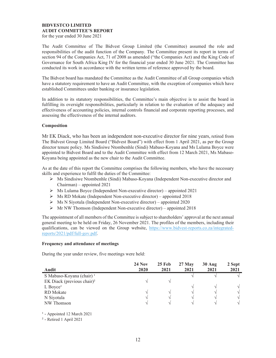for the year ended 30 June 2021

The Audit Committee of The Bidvest Group Limited (the Committee) assumed the role and responsibilities of the audit function of the Company. The Committee present its report in terms of section 94 of the Companies Act, 71 of 2008 as amended ("the Companies Act) and the King Code of Governance for South Africa King IV for the financial year ended 30 June 2021. The Committee has conducted its work in accordance with the written terms of reference approved by the board.

The Bidvest board has mandated the Committee as the Audit Committee of all Group companies which have a statutory requirement to have an Audit Committee, with the exception of companies which have established Committees under banking or insurance legislation.

In addition to its statutory responsibilities, the Committee's main objective is to assist the board in fulfilling its oversight responsibilities, particularly in relation to the evaluation of the adequacy and effectiveness of accounting policies, internal controls financial and corporate reporting processes, and assessing the effectiveness of the internal auditors.

### **Composition**

Mr EK Diack, who has been an independent non-executive director for nine years, retired from The Bidvest Group Limited Board ("Bidvest Board") with effect from 1 April 2021, as per the Group director tenure policy. Ms Sindisiwe Ntombenhle (Sindi) Mabaso-Koyana and Ms Lulama Boyce were appointed to Bidvest Board and to the Audit Committee with effect from 12 March 2021, Ms Mabaso-Koyana being appointed as the new chair to the Audit Committee.

As at the date of this report the Committee comprises the following members, who have the necessary skills and experience to fulfil the duties of the Committee:

- ¾ Ms Sindisiwe Ntombenhle (Sindi) Mabaso-Koyana (Independent Non-executive director and Chairman) – appointed 2021
- $\triangleright$  Ms Lulama Boyce (Independent Non-executive director) appointed 2021
- $\triangleright$  Ms RD Mokate (Independent Non-executive director) appointed 2018
- $\triangleright$  Ms N Siyotula (Independent Non-executive director) appointed 2020
- $\triangleright$  Mr NW Thomson (Independent Non-executive director) appointed 2018

The appointment of all members of the Committee is subject to shareholders' approval at the next annual general meeting to be held on Friday, 26 November 2021. The profiles of the members, including their qualifications, can be viewed on the Group website, https://www.bidvest-reports.co.za/integratedreports/2021/pdf/full-gov.pdf.

### **Frequency and attendance of meetings**

During the year under review, five meetings were held:

| <b>Audit</b>                           | $24$ Nov<br>2020 | 25 Feb<br>2021 | $27$ May<br>2021 | $30$ Aug<br>2021 | 2 Sept<br>2021 |
|----------------------------------------|------------------|----------------|------------------|------------------|----------------|
| S Mabaso-Koyana (chair) <sup>1</sup>   |                  |                |                  |                  |                |
| EK Diack (previous chair) <sup>2</sup> |                  |                |                  |                  |                |
| $L$ Boyce <sup>1</sup>                 |                  |                | $\mathcal{N}$    |                  |                |
| <b>RD</b> Mokate                       |                  |                | $\mathcal{L}$    |                  | $\sqrt{ }$     |
| N Siyotula                             |                  |                |                  |                  |                |
| NW Thomson                             |                  |                | $\mathcal{N}$    |                  | N              |

 $<sup>1</sup>$  - Appointed 12 March 2021</sup>

² - Retired 1 April 2021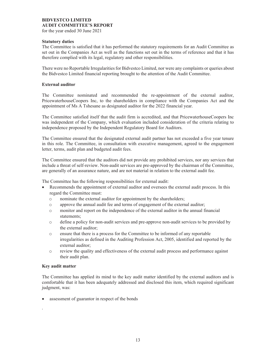for the year ended 30 June 2021

### **Statutory duties**

The Committee is satisfied that it has performed the statutory requirements for an Audit Committee as set out in the Companies Act as well as the functions set out in the terms of reference and that it has therefore complied with its legal, regulatory and other responsibilities.

There were no Reportable Irregularities for Bidvestco Limited, nor were any complaints or queries about the Bidvestco Limited financial reporting brought to the attention of the Audit Committee.

### **External auditor**

The Committee nominated and recommended the re-appointment of the external auditor, PricewaterhouseCoopers Inc, to the shareholders in compliance with the Companies Act and the appointment of Ms A Tshesane as designated auditor for the 2022 financial year.

The Committee satisfied itself that the audit firm is accredited, and that PricewaterhouseCoopers Inc was independent of the Company, which evaluation included consideration of the criteria relating to independence proposed by the Independent Regulatory Board for Auditors.

The Committee ensured that the designated external audit partner has not exceeded a five year tenure in this role. The Committee, in consultation with executive management, agreed to the engagement letter, terms, audit plan and budgeted audit fees.

The Committee ensured that the auditors did not provide any prohibited services, nor any services that include a threat of self-review. Non-audit services are pre-approved by the chairman of the Committee, are generally of an assurance nature, and are not material in relation to the external audit fee.

The Committee has the following responsibilities for external audit:

- Recommends the appointment of external auditor and oversees the external audit process. In this regard the Committee must:
	- o nominate the external auditor for appointment by the shareholders;
	- o approve the annual audit fee and terms of engagement of the external auditor;
	- o monitor and report on the independence of the external auditor in the annual financial statements;
	- o define a policy for non-audit services and pre-approve non-audit services to be provided by the external auditor;
	- o ensure that there is a process for the Committee to be informed of any reportable irregularities as defined in the Auditing Profession Act, 2005, identified and reported by the external auditor;
	- o review the quality and effectiveness of the external audit process and performance against their audit plan.

### **Key audit matter**

.

The Committee has applied its mind to the key audit matter identified by the external auditors and is comfortable that it has been adequately addressed and disclosed this item, which required significant judgment, was:

• assessment of guarantor in respect of the bonds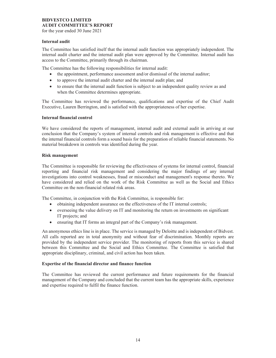for the year ended 30 June 2021

### **Internal audit**

The Committee has satisfied itself that the internal audit function was appropriately independent. The internal audit charter and the internal audit plan were approved by the Committee. Internal audit has access to the Committee, primarily through its chairman.

The Committee has the following responsibilities for internal audit:

- $\bullet$  the appointment, performance assessment and/or dismissal of the internal auditor;
- to approve the internal audit charter and the internal audit plan; and
- to ensure that the internal audit function is subject to an independent quality review as and when the Committee determines appropriate.

The Committee has reviewed the performance, qualifications and expertise of the Chief Audit Executive, Lauren Berrington, and is satisfied with the appropriateness of her expertise.

### **Internal financial control**

We have considered the reports of management, internal audit and external audit in arriving at our conclusion that the Company's system of internal controls and risk management is effective and that the internal financial controls form a sound basis for the preparation of reliable financial statements. No material breakdown in controls was identified during the year.

### **Risk management**

The Committee is responsible for reviewing the effectiveness of systems for internal control, financial reporting and financial risk management and considering the major findings of any internal investigations into control weaknesses, fraud or misconduct and management's response thereto. We have considered and relied on the work of the Risk Committee as well as the Social and Ethics Committee on the non-financial related risk areas.

The Committee, in conjunction with the Risk Committee, is responsible for:

- obtaining independent assurance on the effectiveness of the IT internal controls;
- overseeing the value delivery on IT and monitoring the return on investments on significant IT projects; and
- ensuring that IT forms an integral part of the Company's risk management.

An anonymous ethics line is in place. The service is managed by Deloitte and is independent of Bidvest. All calls reported are in total anonymity and without fear of discrimination. Monthly reports are provided by the independent service provider. The monitoring of reports from this service is shared between this Committee and the Social and Ethics Committee. The Committee is satisfied that appropriate disciplinary, criminal, and civil action has been taken.

### **Expertise of the financial director and finance function**

The Committee has reviewed the current performance and future requirements for the financial management of the Company and concluded that the current team has the appropriate skills, experience and expertise required to fulfil the finance function.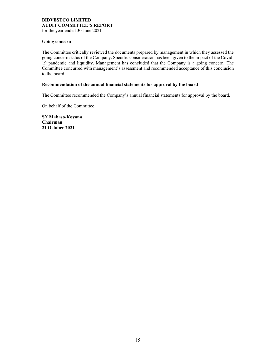for the year ended 30 June 2021

### **Going concern**

The Committee critically reviewed the documents prepared by management in which they assessed the going concern status of the Company. Specific consideration has been given to the impact of the Covid-19 pandemic and liquidity. Management has concluded that the Company is a going concern. The Committee concurred with management's assessment and recommended acceptance of this conclusion to the board.

### **Recommendation of the annual financial statements for approval by the board**

The Committee recommended the Company's annual financial statements for approval by the board.

On behalf of the Committee

**SN Mabaso-Koyana Chairman 21 October 2021**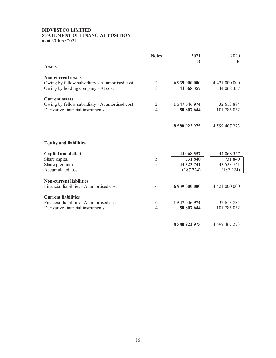# **BIDVESTCO LIMITED STATEMENT OF FINANCIAL POSITION**

as at 30 June 2021

|                                                | <b>Notes</b>   | 2021          | 2020          |
|------------------------------------------------|----------------|---------------|---------------|
| <b>Assets</b>                                  |                | $\bf{R}$      | R             |
| <b>Non-current assets</b>                      |                |               |               |
| Owing by fellow subsidiary - At amortised cost | $\overline{2}$ | 6 939 000 000 | 4 421 000 000 |
| Owing by holding company - At cost             | 3              | 44 068 357    | 44 068 357    |
| <b>Current assets</b>                          |                |               |               |
| Owing by fellow subsidiary - At amortised cost | 2              | 1 547 046 974 | 32 613 884    |
| Derivative financial instruments               | 4              | 50 807 644    | 101 785 032   |
|                                                |                | 8 580 922 975 | 4 599 467 273 |
| <b>Equity and liabilities</b>                  |                |               |               |
| <b>Capital and deficit</b>                     |                | 44 068 357    | 44 068 357    |
| Share capital                                  | 5              | 731 840       | 731 840       |
| Share premium                                  | 5              | 43 523 741    | 43 523 741    |
| <b>Accumulated</b> loss                        |                | (187 224)     | (187 224)     |
| <b>Non-current liabilities</b>                 |                |               |               |
| Financial liabilities - At amortised cost      | 6              | 6 939 000 000 | 4 421 000 000 |
| <b>Current liabilities</b>                     |                |               |               |
| Financial liabilities - At amortised cost      | 6              | 1 547 046 974 | 32 613 884    |
| Derivative financial instruments               | 4              | 50 807 644    | 101 785 032   |
|                                                |                | 8 580 922 975 | 4 599 467 273 |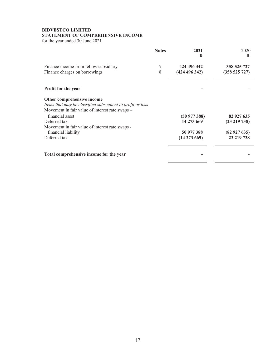### **BIDVESTCO LIMITED STATEMENT OF COMPREHENSIVE INCOME**

for the year ended 30 June 2021

|                                                           | <b>Notes</b> | 2021<br>R        | 2020<br>R    |
|-----------------------------------------------------------|--------------|------------------|--------------|
| Finance income from fellow subsidiary                     | 7            | 424 496 342      | 358 525 727  |
| Finance charges on borrowings                             | 8            | (424 496 342)    | (358525727)  |
| <b>Profit for the year</b>                                |              |                  |              |
| Other comprehensive income                                |              |                  |              |
| Items that may be classified subsequent to profit or loss |              |                  |              |
| Movement in fair value of interest rate swaps –           |              |                  |              |
| financial asset                                           |              | (50977388)       | 82 927 635   |
| Deferred tax                                              |              | 14 273 669       | (23 219 738) |
| Movement in fair value of interest rate swaps -           |              |                  |              |
| financial liability                                       |              | 50 977 388       | (82927635)   |
| Deferred tax                                              |              | $(14\ 273\ 669)$ | 23 219 738   |
| Total comprehensive income for the year                   |              |                  |              |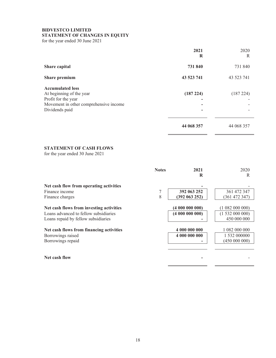### **BIDVESTCO LIMITED STATEMENT OF CHANGES IN EQUITY**

for the year ended 30 June 2021

|                                                                                                                                                                      |                       | 2021<br>R                                     | 2020<br>R                                                    |
|----------------------------------------------------------------------------------------------------------------------------------------------------------------------|-----------------------|-----------------------------------------------|--------------------------------------------------------------|
| Share capital                                                                                                                                                        |                       | 731 840                                       | 731 840                                                      |
| <b>Share premium</b>                                                                                                                                                 |                       | 43 523 741                                    | 43 523 741                                                   |
| <b>Accumulated loss</b><br>At beginning of the year<br>Profit for the year<br>Movement in other comprehensive income                                                 |                       | (187 224)                                     | (187 224)                                                    |
| Dividends paid                                                                                                                                                       |                       |                                               |                                                              |
|                                                                                                                                                                      |                       | 44 068 357                                    | 44 068 357                                                   |
| <b>STATEMENT OF CASH FLOWS</b><br>for the year ended 30 June 2021                                                                                                    | <b>Notes</b>          | 2021<br>$\bf R$                               | 2020<br>$\mathbb{R}$                                         |
| Net cash flow from operating activities                                                                                                                              |                       |                                               |                                                              |
| Finance income<br>Finance charges                                                                                                                                    | $\boldsymbol{7}$<br>8 | 392 063 252<br>(392063252)                    | 361 472 347<br>(361 472 347)                                 |
| Net cash flows from investing activities<br>Loans advanced to fellow subsidiaries<br>Loans repaid by fellow subsidiaries<br>Net cash flows from financing activities |                       | (4000000000)<br>(4000000000)<br>4 000 000 000 | (1082000000)<br>(1532000000)<br>450 000 000<br>1 082 000 000 |
| Borrowings raised<br>Borrowings repaid                                                                                                                               |                       | 4 000 000 000                                 | 1 532 000000<br>(450000000)                                  |

 $\overline{\phantom{0}}$ 

**Net cash flow -** -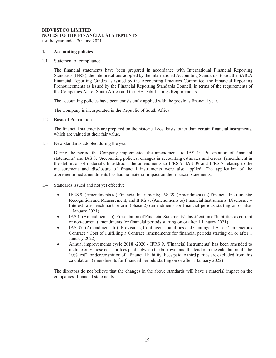for the year ended 30 June 2021

### **1. Accounting policies**

1.1 Statement of compliance

 The financial statements have been prepared in accordance with International Financial Reporting Standards (IFRS), the interpretations adopted by the International Accounting Standards Board, the SAICA Financial Reporting Guides as issued by the Accounting Practices Committee, the Financial Reporting Pronouncements as issued by the Financial Reporting Standards Council, in terms of the requirements of the Companies Act of South Africa and the JSE Debt Listings Requirements.

The accounting policies have been consistently applied with the previous financial year.

The Company is incorporated in the Republic of South Africa.

1.2 Basis of Preparation

The financial statements are prepared on the historical cost basis, other than certain financial instruments, which are valued at their fair value.

1.3 New standards adopted during the year

During the period the Company implemented the amendments to IAS 1: 'Presentation of financial statements' and IAS 8: 'Accounting policies, changes in accounting estimates and errors' (amendment in the definition of material). In addition, the amendments to IFRS 9, IAS 39 and IFRS 7 relating to the measurement and disclosure of financial instruments were also applied. The application of the aforementioned amendments has had no material impact on the financial statements.

- 1.4 Standards issued and not yet effective
	- x IFRS 9: (Amendments to) Financial Instruments; IAS 39: (Amendments to) Financial Instruments: Recognition and Measurement; and IFRS 7: (Amendments to) Financial Instruments: Disclosure – Interest rate benchmark reform (phase 2) (amendments for financial periods starting on or after 1 January 2021)
	- IAS 1: (Amendments to) 'Presentation of Financial Statements' classification of liabilities as current or non-current (amendments for financial periods starting on or after 1 January 2021)
	- IAS 37: (Amendments to) 'Provisions, Contingent Liabilities and Contingent Assets' on Onerous Contract / Cost of Fulfilling a Contract (amendments for financial periods starting on or after 1 January 2022)
	- Annual improvements cycle 2018 -2020 IFRS 9, 'Financial Instruments' has been amended to include only those costs or fees paid between the borrower and the lender in the calculation of "the 10% test" for derecognition of a financial liability. Fees paid to third parties are excluded from this calculation. (amendments for financial periods starting on or after 1 January 2022)

The directors do not believe that the changes in the above standards will have a material impact on the companies' financial statements.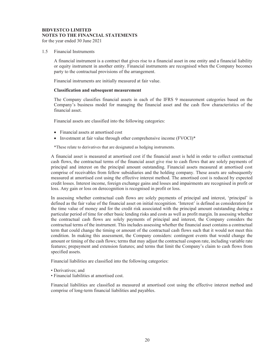for the year ended 30 June 2021

1.5 Financial Instruments

 A financial instrument is a contract that gives rise to a financial asset in one entity and a financial liability or equity instrument in another entity. Financial instruments are recognised when the Company becomes party to the contractual provisions of the arrangement.

Financial instruments are initially measured at fair value.

### **Classification and subsequent measurement**

The Company classifies financial assets in each of the IFRS 9 measurement categories based on the Company's business model for managing the financial asset and the cash flow characteristics of the financial asset.

Financial assets are classified into the following categories:

- Financial assets at amortised cost
- Investment at fair value through other comprehensive income (FVOCI) $*$

\*These relate to derivatives that are designated as hedging instruments.

A financial asset is measured at amortised cost if the financial asset is held in order to collect contractual cash flows, the contractual terms of the financial asset give rise to cash flows that are solely payments of principal and interest on the principal amount outstanding. Financial assets measured at amortised cost comprise of receivables from fellow subsidiaries and the holding company. These assets are subsequently measured at amortised cost using the effective interest method. The amortised cost is reduced by expected credit losses. Interest income, foreign exchange gains and losses and impairments are recognised in profit or loss. Any gain or loss on derecognition is recognised in profit or loss.

In assessing whether contractual cash flows are solely payments of principal and interest, 'principal' is defined as the fair value of the financial asset on initial recognition. 'Interest' is defined as consideration for the time value of money and for the credit risk associated with the principal amount outstanding during a particular period of time for other basic lending risks and costs as well as profit margin. In assessing whether the contractual cash flows are solely payments of principal and interest, the Company considers the contractual terms of the instrument. This includes assessing whether the financial asset contains a contractual term that could change the timing or amount of the contractual cash flows such that it would not meet this condition. In making this assessment, the Company considers: contingent events that would change the amount or timing of the cash flows; terms that may adjust the contractual coupon rate, including variable rate features; prepayment and extension features; and terms that limit the Company's claim to cash flows from specified assets.

Financial liabilities are classified into the following categories:

- Derivatives; and
- Financial liabilities at amortised cost.

Financial liabilities are classified as measured at amortised cost using the effective interest method and comprise of long-term financial liabilities and payables.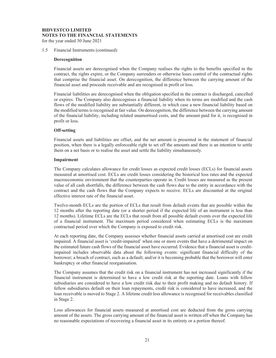for the year ended 30 June 2021

### 1.5 Financial Instruments (continued)

### **Derecognition**

Financial assets are derecognised when the Company realises the rights to the benefits specified in the contract, the rights expire, or the Company surrenders or otherwise loses control of the contractual rights that comprise the financial asset. On derecognition, the difference between the carrying amount of the financial asset and proceeds receivable and are recognised in profit or loss.

Financial liabilities are derecognised when the obligation specified in the contract is discharged, cancelled or expires. The Company also derecognises a financial liability when its terms are modified and the cash flows of the modified liability are substantially different, in which case a new financial liability based on the modified terms is recognised at fair value. On derecognition, the difference between the carrying amount of the financial liability, including related unamortised costs, and the amount paid for it, is recognised in profit or loss.

### **Off-setting**

Financial assets and liabilities are offset, and the net amount is presented in the statement of financial position, when there is a legally enforceable right to set off the amounts and there is an intention to settle them on a net basis or to realise the asset and settle the liability simultaneously.

### **Impairment**

The Company calculates allowance for credit losses as expected credit losses (ECLs) for financial assets measured at amortised cost. ECLs are credit losses considering the historical loss rates and the expected macroeconomic environment that the counterparties operate in. Credit losses are measured as the present value of all cash shortfalls, the difference between the cash flows due to the entity in accordance with the contract and the cash flows that the Company expects to receive. ECLs are discounted at the original effective interest rate of the financial asset.

Twelve-month ECLs are the portion of ECLs that result from default events that are possible within the 12 months after the reporting date (or a shorter period if the expected life of an instrument is less than 12 months). Lifetime ECLs are the ECLs that result from all possible default events over the expected life of a financial instrument. The maximum period considered when estimating ECLs is the maximum contractual period over which the Company is exposed to credit risk.

At each reporting date, the Company assesses whether financial assets carried at amortised cost are credit impaired. A financial asset is 'credit-impaired' when one or more events that have a detrimental impact on the estimated future cash flows of the financial asset have occurred. Evidence that a financial asset is creditimpaired includes observable data about the following events: significant financial difficulty of the borrower; a breach of contract, such as a default; and/or it is becoming probable that the borrower will enter bankruptcy or other financial reorganisation.

The Company assumes that the credit risk on a financial instrument has not increased significantly if the financial instrument is determined to have a low credit risk at the reporting date. Loans with fellow subsidiaries are considered to have a low credit risk due to their profit making and no default history. If fellow subsidiaries default on their loan repayments, credit risk is considered to have increased, and the loan receivable is moved to Stage 2. A lifetime credit loss allowance is recognised for receivables classified in Stage 2.

Loss allowances for financial assets measured at amortised cost are deducted from the gross carrying amount of the assets. The gross carrying amount of the financial asset is written off when the Company has no reasonable expectations of recovering a financial asset in its entirety or a portion thereof.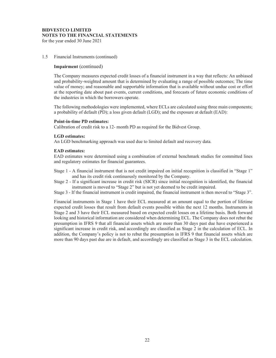for the year ended 30 June 2021

### 1.5 Financial Instruments (continued)

### **Impairment** (continued)

The Company measures expected credit losses of a financial instrument in a way that reflects: An unbiased and probability-weighted amount that is determined by evaluating a range of possible outcomes; The time value of money; and reasonable and supportable information that is available without undue cost or effort at the reporting date about past events, current conditions, and forecasts of future economic conditions of the industries in which the borrowers operate.

The following methodologies were implemented, where ECLs are calculated using three main components; a probability of default (PD); a loss given default (LGD); and the exposure at default (EAD):

### **Point-in-time PD estimates:**

Calibration of credit risk to a 12- month PD as required for the Bidvest Group.

### **LGD estimates:**

An LGD benchmarking approach was used due to limited default and recovery data.

### **EAD estimates:**

EAD estimates were determined using a combination of external benchmark studies for committed lines and regulatory estimates for financial guarantees.

- Stage 1 A financial instrument that is not credit impaired on initial recognition is classified in "Stage 1" and has its credit risk continuously monitored by the Company.
- Stage 2 If a significant increase in credit risk (SICR) since initial recognition is identified, the financial instrument is moved to "Stage 2" but is not yet deemed to be credit impaired.
- Stage 3 If the financial instrument is credit impaired, the financial instrument is then moved to "Stage 3".

Financial instruments in Stage 1 have their ECL measured at an amount equal to the portion of lifetime expected credit losses that result from default events possible within the next 12 months. Instruments in Stage 2 and 3 have their ECL measured based on expected credit losses on a lifetime basis. Both forward looking and historical information are considered when determining ECL. The Company does not rebut the presumption in IFRS 9 that all financial assets which are more than 30 days past due have experienced a significant increase in credit risk, and accordingly are classified as Stage 2 in the calculation of ECL. In addition, the Company's policy is not to rebut the presumption in IFRS 9 that financial assets which are more than 90 days past due are in default, and accordingly are classified as Stage 3 in the ECL calculation.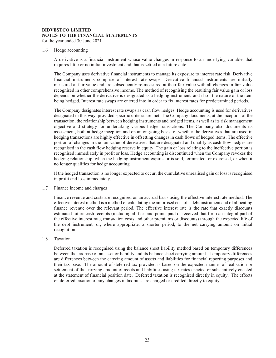for the year ended 30 June 2021

### 1.6 Hedge accounting

A derivative is a financial instrument whose value changes in response to an underlying variable, that requires little or no initial investment and that is settled at a future date.

The Company uses derivative financial instruments to manage its exposure to interest rate risk. Derivative financial instruments comprise of interest rate swaps. Derivative financial instruments are initially measured at fair value and are subsequently re-measured at their fair value with all changes in fair value recognised in other comprehensive income. The method of recognising the resulting fair value gain or loss depends on whether the derivative is designated as a hedging instrument, and if so, the nature of the item being hedged. Interest rate swaps are entered into in order to fix interest rates for predetermined periods.

The Company designates interest rate swaps as cash flow hedges. Hedge accounting is used for derivatives designated in this way, provided specific criteria are met. The Company documents, at the inception of the transaction, the relationship between hedging instruments and hedged items, as well as its risk management objective and strategy for undertaking various hedge transactions. The Company also documents its assessment, both at hedge inception and on an on-going basis, of whether the derivatives that are used in hedging transactions are highly effective in offsetting changes in cash flows of hedged items. The effective portion of changes in the fair value of derivatives that are designated and qualify as cash flow hedges are recognised in the cash flow hedging reserve in equity. The gain or loss relating to the ineffective portion is recognised immediately in profit or loss. Hedge accounting is discontinued when the Company revokes the hedging relationship, when the hedging instrument expires or is sold, terminated, or exercised, or when it no longer qualifies for hedge accounting.

If the hedged transaction is no longer expected to occur, the cumulative unrealised gain or loss is recognised in profit and loss immediately.

### 1.7 Finance income and charges

 Finance revenue and costs are recognised on an accrual basis using the effective interest rate method. The effective interest method is a method of calculating the amortised cost of a debt instrument and of allocating finance revenue over the relevant period. The effective interest rate is the rate that exactly discounts estimated future cash receipts (including all fees and points paid or received that form an integral part of the effective interest rate, transaction costs and other premiums or discounts) through the expected life of the debt instrument, or, where appropriate, a shorter period, to the net carrying amount on initial recognition.

### 1.8 Taxation

 Deferred taxation is recognised using the balance sheet liability method based on temporary differences between the tax base of an asset or liability and its balance sheet carrying amount. Temporary differences are differences between the carrying amount of assets and liabilities for financial reporting purposes and their tax base. The amount of deferred tax provided is based on the expected manner of realisation or settlement of the carrying amount of assets and liabilities using tax rates enacted or substantively enacted at the statement of financial position date. Deferred taxation is recognised directly in equity. The effects on deferred taxation of any changes in tax rates are charged or credited directly to equity.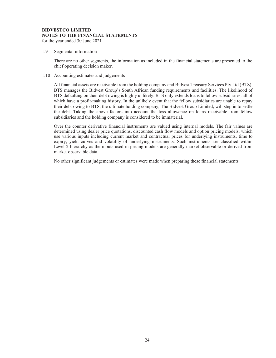for the year ended 30 June 2021

1.9 Segmental information

There are no other segments, the information as included in the financial statements are presented to the chief operating decision maker.

1.10 Accounting estimates and judgements

All financial assets are receivable from the holding company and Bidvest Treasury Services Pty Ltd (BTS). BTS manages the Bidvest Group's South African funding requirements and facilities. The likelihood of BTS defaulting on their debt owing is highly unlikely. BTS only extends loans to fellow subsidiaries, all of which have a profit-making history. In the unlikely event that the fellow subsidiaries are unable to repay their debt owing to BTS, the ultimate holding company, The Bidvest Group Limited, will step in to settle the debt. Taking the above factors into account the loss allowance on loans receivable from fellow subsidiaries and the holding company is considered to be immaterial.

Over the counter derivative financial instruments are valued using internal models. The fair values are determined using dealer price quotations, discounted cash flow models and option pricing models, which use various inputs including current market and contractual prices for underlying instruments, time to expiry, yield curves and volatility of underlying instruments. Such instruments are classified within Level 2 hierarchy as the inputs used in pricing models are generally market observable or derived from market observable data.

No other significant judgements or estimates were made when preparing these financial statements.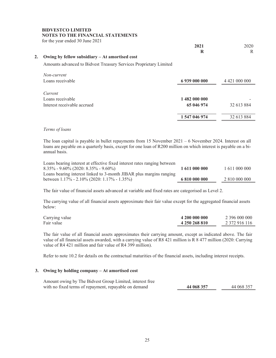for the year ended 30 June 2021

| ___ | 2021   | 2020                |
|-----|--------|---------------------|
|     | m<br>ĸ | $\mathbf{R}$<br>. . |

### **2. Owing by fellow subsidiary – At amortised cost**

Amounts advanced to Bidvest Treasury Services Proprietary Limited

| Non-current                 |               |            |
|-----------------------------|---------------|------------|
| Loans receivable            | 6 939 000 000 |            |
|                             |               |            |
| Current                     |               |            |
| Loans receivable            | 1 482 000 000 |            |
| Interest receivable accrued | 65 046 974    | 32 613 884 |
|                             | 1 547 046 974 | 32 613 884 |
|                             |               |            |

### *Terms of loans*

The loan capital is payable in bullet repayments from 15 November 2021 – 6 November 2024. Interest on all loans are payable on a quarterly basis, except for one loan of R200 million on which interest is payable on a biannual basis.

| Loans bearing interest at effective fixed interest rates ranging between |               |               |
|--------------------------------------------------------------------------|---------------|---------------|
| $8.35\% - 9.60\%$ (2020: $8.35\% - 9.60\%$ )                             | 1 611 000 000 | 1 611 000 000 |
| Loans bearing interest linked to 3-month JIBAR plus margins ranging      |               |               |
| between $1.17\%$ - $2.10\%$ (2020: 1.17% - 1.35%)                        | 6 810 000 000 | 2 810 000 000 |

The fair value of financial assets advanced at variable and fixed rates are categorised as Level 2.

 The carrying value of all financial assets approximate their fair value except for the aggregated financial assets below:

| Carrying value | 4 200 000 000 | 2 396 000 000 |
|----------------|---------------|---------------|
| Fair value     | 4 250 268 810 | 2 372 916 116 |

 The fair value of all financial assets approximates their carrying amount, except as indicated above. The fair value of all financial assets awarded, with a carrying value of R8 421 million is R 8 477 million (2020: Carrying value of R4 421 million and fair value of R4 399 million).

Refer to note 10.2 for details on the contractual maturities of the financial assets, including interest receipts.

### **3. Owing by holding company – At amortised cost**

| Amount owing by The Bidvest Group Limited, interest free |            |            |
|----------------------------------------------------------|------------|------------|
| with no fixed terms of repayment, repayable on demand    | 44 068 357 | 44 068 357 |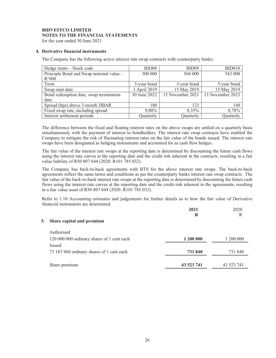for the year ended 30 June 2021

### **4. Derivative financial instruments**

The Company has the following active interest rate swap contracts with counterparty banks:

| Hedge items - Stock code                 | BID <sub>08</sub> | BID <sub>09</sub> | <b>BID010</b>    |
|------------------------------------------|-------------------|-------------------|------------------|
| Principle Bond and Swap notional value - | 300 000           | 568 000           | 543 000          |
| R'000                                    |                   |                   |                  |
| Term                                     | 5-year bond       | 3-year bond       | 5-year bond      |
| Swap start date                          | 1 April 2019      | 15 May 2019       | 15 May 2019      |
| Bond redemption date, swap termination   | 30 June 2022      | 15 November 2021  | 15 November 2023 |
| date                                     |                   |                   |                  |
| Spread (bps) above 3-month JIBAR         | 180               | 123               | 140              |
| Fixed swap rate, including spread        | $9.00\%$          | 8.35%             | 8,78%            |
| Interest settlement periods              | Ouarterly         | Quarterly         | Quarterly        |

The difference between the fixed and floating interest rates on the above swaps are settled on a quarterly basis simultaneously with the payment of interest to bondholders. The interest rate swap contracts have enabled the Company to mitigate the risk of fluctuating interest rates on the fair value of the bonds issued. The interest rate swaps have been designated as hedging instruments and accounted for as cash flow hedges.

The fair value of the interest rate swaps at the reporting date is determined by discounting the future cash flows using the interest rate curves at the reporting date and the credit risk inherent in the contracts, resulting in a fair value liability of R50 807 644 (2020: R101 785 032).

The Company has back-to-back agreements with BTS for the above interest rate swaps. The back-to-back agreements reflect the same terms and conditions as per the counterparty banks interest rate swap contracts. The fair value of the back-to-back interest rate swaps at the reporting date is determined by discounting the future cash flows using the interest rate curves at the reporting date and the credit risk inherent in the agreements, resulting in a fair value asset of R50 807 644 (2020: R101 785 032).

Refer to 1.10 Accounting estimates and judgements for further details as to how the fair value of Derivative financial instruments are determined.

|    |                                            | 2021<br>R  | 2020<br>R  |
|----|--------------------------------------------|------------|------------|
| 5. | Share capital and premium                  |            |            |
|    | Authorised                                 |            |            |
|    | 120 000 000 ordinary shares of 1 cent each | 1 200 000  | 1 200 000  |
|    | <b>Issued</b>                              |            |            |
|    | 73 183 968 ordinary shares of 1 cent each  | 731 840    | 731 840    |
|    |                                            |            |            |
|    | Share premium                              | 43 523 741 | 43 523 741 |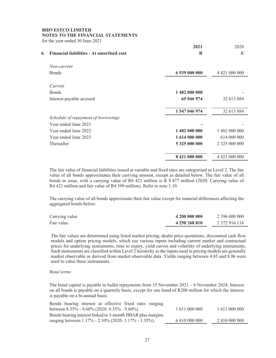for the year ended 30 June 2021

|    |                                           | 2021          | 2020          |
|----|-------------------------------------------|---------------|---------------|
| 6. | Financial liabilities - At amortised cost | R             | R             |
|    | Non-current                               |               |               |
|    | <b>Bonds</b>                              | 6939000000    |               |
|    | Current                                   |               |               |
|    | <b>Bonds</b>                              | 1 482 000 000 |               |
|    | Interest payable accrued                  | 65 046 974    | 32 613 884    |
|    |                                           | 1 547 046 974 | 32 613 884    |
|    | Schedule of repayment of borrowings       |               |               |
|    | Year ended June 2021                      |               |               |
|    | Year ended June 2022                      | 1 482 000 000 | 1 482 000 000 |
|    | Year ended June 2023                      | 1 614 000 000 | 614 000 000   |
|    | Thereafter                                | 5 325 000 000 |               |
|    |                                           | 8 421 000 000 | 4 421 000 000 |
|    |                                           |               |               |

The fair value of financial liabilities issued at variable and fixed rates are categorised as Level 2. The fair value of all bonds approximates their carrying amount, except as detailed below. The fair value of all bonds in issue, with a carrying value of R8 421 million is R 8 477 million (2020: Carrying value of R4 421 million and fair value of R4 399 million). Refer to note 1.10.

 The carrying value of all bonds approximate their fair value except for material differences affecting the aggregated bonds below:

| Carrying value | 4 200 000 000 | 2 396 000 000 |
|----------------|---------------|---------------|
| Fair value     | 4 250 268 810 | 2 372 916 116 |

The fair values are determined using listed market pricing, dealer price quotations, discounted cash flow models and option pricing models, which use various inputs including current market and contractual prices for underlying instruments, time to expiry, yield curves and volatility of underlying instruments. Such instruments are classified within Level 2 hierarchy as the inputs used in pricing models are generally market observable or derived from market observable data. Yields ranging between 4.85 and 8.96 were used to value these instruments.

### *Bond terms*

 The bond capital is payable in bullet repayments from 15 November 2021 – 6 November 2024. Interest on all bonds is payable on a quarterly basis, except for one bond of R200 million for which the interest is payable on a bi-annual basis.

| Bonds bearing interest at effective fixed rates ranging     |                |                |
|-------------------------------------------------------------|----------------|----------------|
| between $8.35\%$ - $9.60\%$ (2020: $8.35\%$ - $9.60\%$ )    | 1 611 000 000  | 1 611 000 000  |
| Bonds bearing interest linked to 3-month JIBAR plus margins |                |                |
| ranging between $1.17\%$ - $2.10\%$ (2020: 1.17% - 1.35%).  | 6 8 10 000 000 | 2 8 10 000 000 |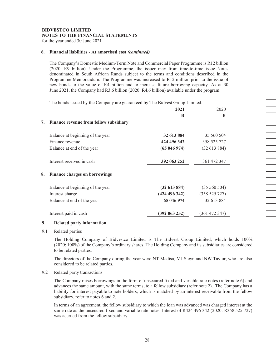for the year ended 30 June 2021

### **6. Financial liabilities - At amortised cost** *(continued)*

 The Company's Domestic Medium-Term Note and Commercial Paper Programme is R12 billion (2020: R9 billion). Under the Programme, the issuer may from time-to-time issue Notes denominated in South African Rands subject to the terms and conditions described in the Programme Memorandum. The Programme was increased to R12 million prior to the issue of new bonds to the value of R4 billion and to increase future borrowing capacity. As at 30 June 2021, the Company had R3,6 billion (2020: R4,6 billion) available under the program.

The bonds issued by the Company are guaranteed by The Bidvest Group Limited.

|    |                                        | 2021              | 2020          |
|----|----------------------------------------|-------------------|---------------|
|    |                                        | R                 | R             |
| 7. | Finance revenue from fellow subsidiary |                   |               |
|    | Balance at beginning of the year       | 32 613 884        | 35 560 504    |
|    | Finance revenue                        | 424 496 342       | 358 525 727   |
|    | Balance at end of the year             | (65046974)        | (32613884)    |
|    | Interest received in cash              | 392 063 252       | 361 472 347   |
| 8. | <b>Finance charges on borrowings</b>   |                   |               |
|    | Balance at beginning of the year       | (32 613 884)      | (35 560 504)  |
|    | Interest charge                        | (424 496 342)     | (358525727)   |
|    | Balance at end of the year             | 65 046 974        | 32 613 884    |
|    | Interest paid in cash                  | $(392\;063\;252)$ | (361 472 347) |
|    |                                        |                   |               |

### **9. Related party information**

### 9.1 Related parties

 The Holding Company of Bidvestco Limited is The Bidvest Group Limited, which holds 100% (2020: 100%) of the Company's ordinary shares. The Holding Company and its subsidiaries are considered to be related parties.

 $\overline{\phantom{a}}$ 

The directors of the Company during the year were NT Madisa, MJ Steyn and NW Taylor, who are also considered to be related parties.

#### 9.2 Related party transactions

The Company raises borrowings in the form of unsecured fixed and variable rate notes (refer note 6) and advances the same amount, with the same terms, to a fellow subsidiary (refer note 2). The Company has a liability for interest payable to note holders, which is matched by an interest receivable from the fellow subsidiary, refer to notes 6 and 2.

In terms of an agreement, the fellow subsidiary to which the loan was advanced was charged interest at the same rate as the unsecured fixed and variable rate notes. Interest of R424 496 342 (2020: R358 525 727) was accrued from the fellow subsidiary.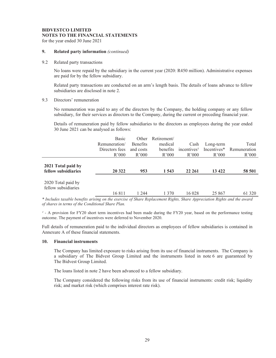for the year ended 30 June 2021

### **9. Related party information** *(continued)*

9.2 Related party transactions

No loans were repaid by the subsidiary in the current year (2020: R450 million). Administrative expenses are paid for by the fellow subsidiary.

Related party transactions are conducted on an arm's length basis. The details of loans advance to fellow subsidiaries are disclosed in note 2.

9.3 Directors' remuneration

No remuneration was paid to any of the directors by the Company, the holding company or any fellow subsidiary, for their services as directors to the Company, during the current or preceding financial year.

Details of remuneration paid by fellow subsidiaries to the directors as employees during the year ended 30 June 2021 can be analysed as follows:

|                                           | <b>Basic</b>   | Other           | Retirement/ |                         |           |                                      |
|-------------------------------------------|----------------|-----------------|-------------|-------------------------|-----------|--------------------------------------|
|                                           | Remuneration/  | <b>Benefits</b> | medical     | Cash                    | Long-term | Total                                |
|                                           | Directors fees | and costs       | benefits    | incentives <sup>1</sup> |           | Incentives <sup>*</sup> Remuneration |
|                                           | R'000          | R'000           | R'000       | R'000                   | R'000     | R'000                                |
| 2021 Total paid by<br>fellow subsidiaries | 20 322         | 953             | 1 5 4 3     | 22 26 1                 | 13 4 22   | 58 501                               |
| 2020 Total paid by<br>fellow subsidiaries | 16811          | 1 244           | 370         | 16 028                  | 25 867    | 61 320                               |

*\* Includes taxable benefits arising on the exercise of Share Replacement Rights, Share Appreciation Rights and the award of shares in terms of the Conditional Share Plan.* 

<sup>1</sup> - A provision for FY20 short term incentives had been made during the FY20 year, based on the performance testing outcome. The payment of incentives were deferred to November 2020.

Full details of remuneration paid to the individual directors as employees of fellow subsidiaries is contained in Annexure A of these financial statements.

### **10. Financial instruments**

 The Company has limited exposure to risks arising from its use of financial instruments. The Company is a subsidiary of The Bidvest Group Limited and the instruments listed in note 6 are guaranteed by The Bidvest Group Limited.

The loans listed in note 2 have been advanced to a fellow subsidiary.

The Company considered the following risks from its use of financial instruments: credit risk; liquidity risk; and market risk (which comprises interest rate risk).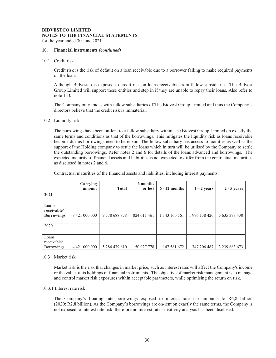for the year ended 30 June 2021

### **10. Financial instruments** *(continued)*

10.1 Credit risk

Credit risk is the risk of default on a loan receivable due to a borrower failing to make required payments on the loan.

Although Bidvestco is exposed to credit risk on loans receivable from fellow subsidiaries, The Bidvest Group Limited will support these entities and step in if they are unable to repay their loans. Also refer to note 1.10.

 The Company only trades with fellow subsidiaries of The Bidvest Group Limited and thus the Company's directors believe that the credit risk is immaterial.

10.2 Liquidity risk

 The borrowings have been on-lent to a fellow subsidiary within The Bidvest Group Limited on exactly the same terms and conditions as that of the borrowings. This mitigates the liquidity risk as loans receivable become due as borrowings need to be repaid. The fellow subsidiary has access to facilities as well as the support of the Holding company to settle the loans which in turn will be utilised by the Company to settle the outstanding borrowings. Refer notes 2 and 6 for details of the loans advanced and borrowings. The expected maturity of financial assets and liabilities is not expected to differ from the contractual maturities as disclosed in notes 2 and 6.

Contractual maturities of the financial assets and liabilities, including interest payments:

|                                           | Carrying<br>amount | <b>Total</b>  | 6 months<br>or less | $6 - 12$ months | $1 - 2$ years | $2 - 5$ years |
|-------------------------------------------|--------------------|---------------|---------------------|-----------------|---------------|---------------|
| 2021                                      |                    |               |                     |                 |               |               |
| Loans<br>receivable/<br><b>Borrowings</b> | 8 421 000 000      | 9 578 688 878 | 824 011 461         | 1 143 160 561   | 1 976 138 426 | 5 635 378 430 |
|                                           |                    |               |                     |                 |               |               |
| 2020                                      |                    |               |                     |                 |               |               |
|                                           |                    |               |                     |                 |               |               |
| Loans<br>receivable/<br><b>Borrowings</b> | 4 421 000 000      | 5 284 479 610 | 150 027 778         | 147 581 672     | 1 747 206 487 | 3 239 663 673 |

### 10.3 Market risk

Market risk is the risk that changes in market price, such as interest rates will affect the Company's income or the value of its holdings of financial instruments. The objective of market risk management is to manage and control market risk exposures within acceptable parameters, while optimising the return on risk.

### 10.3.1 Interest rate risk

 The Company's floating rate borrowings exposed to interest rate risk amounts to R6,8 billion (2020: R2,8 billion). As the Company's borrowings are on-lent on exactly the same terms, the Company is not exposed to interest rate risk, therefore no interest rate sensitivity analysis has been disclosed.